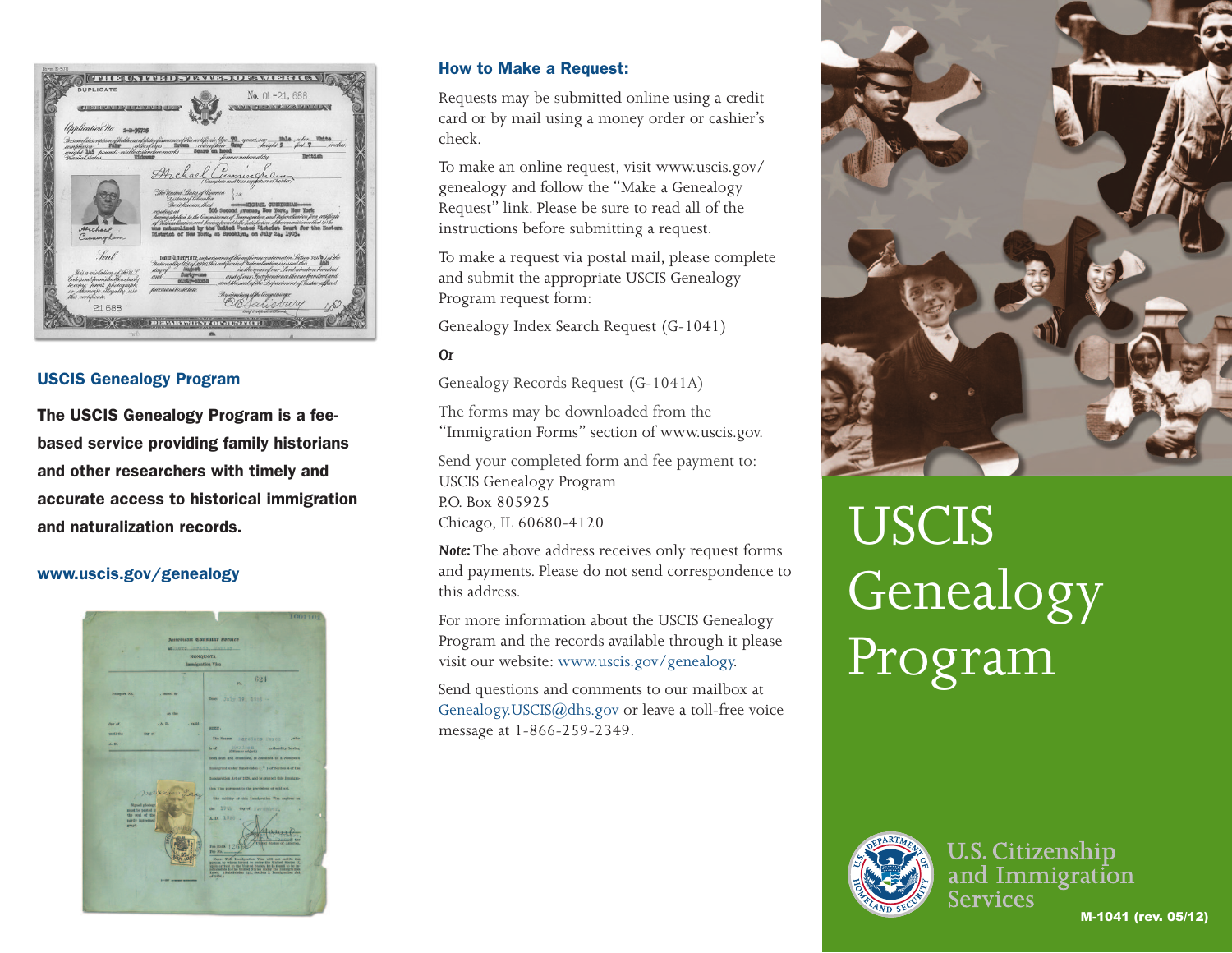| <b>DUPLICATE</b>                                          | No. 0L-21, 688                                                                                                                                                                                   |
|-----------------------------------------------------------|--------------------------------------------------------------------------------------------------------------------------------------------------------------------------------------------------|
| IT'S HERE HER HAVE BEEN HERE IN THE HAVE HERE HE HER HER  | <b>NIVERTHANIES IN A MINICIDAY</b>                                                                                                                                                               |
| <i>Application No.</i><br>$2 - 3 - 39725$                 |                                                                                                                                                                                                  |
| weight 145 hounds visible distinctive marks               | _inches<br>Scare on head<br><b>ReitAinh</b><br>Sermernationality                                                                                                                                 |
| Marital status<br><b>T3.dowes</b>                         |                                                                                                                                                                                                  |
|                                                           | Archael Cumingham<br>Complete and true signature of holder)                                                                                                                                      |
|                                                           | The United States of Umerica<br>88                                                                                                                                                               |
|                                                           | District of Columbia<br>Beit known that<br><b>AITCHARL CURRIDGHAM</b><br>606 Second Avenue, How York, Henr York                                                                                  |
|                                                           | residing at<br>having applied to the Commissioner of Immigration and Naturalization for a certificate<br>of Waturaliantion and having proved to the satisfaction of the commissioner that (s) he |
| Archael.<br>Cumingham                                     | mus naturalized by the United States District Court for the Eastern<br>District of New York, at Brooklyn, on July 24, 1903.                                                                      |
|                                                           |                                                                                                                                                                                                  |
| Seal                                                      | Rata Therefore, in pursuance of the authority contained in Section 341/0 / of the<br>Nationality (liter 1940 this entificate of naturaliantien is issued this                                    |
| His a violation of the U.S.                               | in the year of our Lordnington hundred<br>day of<br>forty-one<br>and of our Independence the one hundred and<br>and                                                                              |
| bode jand punishable as such!<br>leasy, print, photograph | aixiy-aixih<br>and the seal of the Department of Tustice affixed<br>hursuanttostatute.                                                                                                           |
| or otherwise illegally use<br>this certificate.           | By direction of the lemmissioner                                                                                                                                                                 |
| 21688                                                     | ni ry<br>an.<br>Dief. Certifications Presid                                                                                                                                                      |
|                                                           |                                                                                                                                                                                                  |

### USCIS Genealogy Program

The USCIS Genealogy Program is a feebased service providing family historians and other researchers with timely and accurate access to historical immigration and naturalization records.

## www.uscis.gov/genealogy



#### How to Make a Request:

Requests may be submitted online using a credit card or by mail using a money order or cashier's check.

To make an online request, visit www.uscis.gov/ genealogy and follow the "Make a Genealogy Request" link. Please be sure to read all of the instructions before submitting a request.

To make a request via postal mail, please complete and submit the appropriate USCIS Genealogy Program request form:

Genealogy Index Search Request (G-1041)

### *Or*

Genealogy Records Request (G-1041A)

The forms may be downloaded from the "Immigration Forms" section of www.uscis.gov.

Send your completed form and fee payment to: USCIS Genealogy Program P.O. Box 805925 Chicago, IL 60680-4120

*Note:* The above address receives only request forms and payments. Please do not send correspondence to this address.

For more information about the USCIS Genealogy Program and the records available through it please visit our website: www.uscis.gov/genealogy.

Send questions and comments to our mailbox at Genealogy.USCIS@dhs.gov or leave a toll-free voice message at 1-866-259-2349.



# USCIS **Genealogy** Program



**U.S. Citizenship** and Immigration **Services** M-1041 (rev. 05/12)